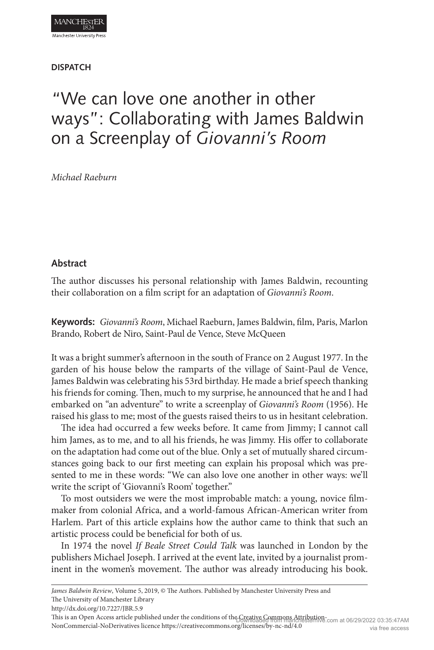### **DISPATCH**

# "We can love one another in other ways": Collaborating with James Baldwin on a Screenplay of *Giovanni's Room*

*Michael Raeburn*

## **Abstract**

The author discusses his personal relationship with James Baldwin, recounting their collaboration on a film script for an adaptation of *Giovanni's Room*.

**Keywords:** *Giovanni's Room*, Michael Raeburn, James Baldwin, film, Paris, Marlon Brando, Robert de Niro, Saint-Paul de Vence, Steve McQueen

It was a bright summer's afternoon in the south of France on 2 August 1977. In the garden of his house below the ramparts of the village of Saint-Paul de Vence, James Baldwin was celebrating his 53rd birthday. He made a brief speech thanking his friends for coming. Then, much to my surprise, he announced that he and I had embarked on "an adventure" to write a screenplay of *Giovanni's Room* (1956). He raised his glass to me; most of the guests raised theirs to us in hesitant celebration.

The idea had occurred a few weeks before. It came from Jimmy; I cannot call him James, as to me, and to all his friends, he was Jimmy. His offer to collaborate on the adaptation had come out of the blue. Only a set of mutually shared circumstances going back to our first meeting can explain his proposal which was presented to me in these words: "We can also love one another in other ways: we'll write the script of 'Giovanni's Room' together."

To most outsiders we were the most improbable match: a young, novice filmmaker from colonial Africa, and a world-famous African-American writer from Harlem. Part of this article explains how the author came to think that such an artistic process could be beneficial for both of us.

In 1974 the novel *If Beale Street Could Talk* was launched in London by the publishers Michael Joseph. I arrived at the event late, invited by a journalist prominent in the women's movement. The author was already introducing his book.

*James Baldwin Review*, Volume 5, 2019, © The Authors. Published by Manchester University Press and The University of Manchester Library

This is an Open Access article published under the conditions of the Commons Attribution-com at 06/29/2022 03:35:47AM NonCommercial-NoDerivatives licence https://creativecommons.org/licenses/by-nc-nd/4.0 via free access

http://dx.doi.org/10.7227/JBR.5.9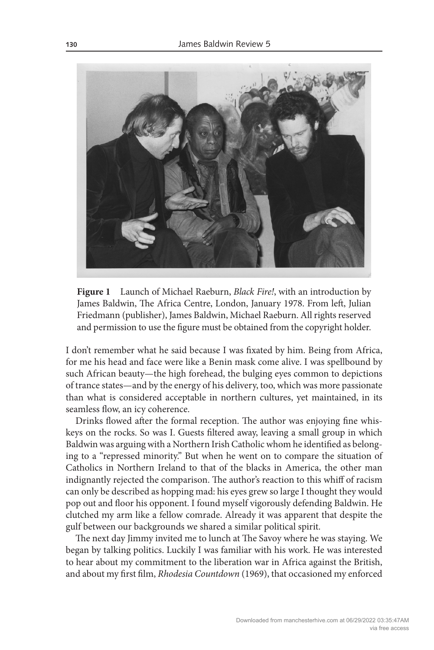

**Figure 1** Launch of Michael Raeburn, *Black Fire!*, with an introduction by James Baldwin, The Africa Centre, London, January 1978. From left, Julian Friedmann (publisher), James Baldwin, Michael Raeburn. All rights reserved and permission to use the figure must be obtained from the copyright holder.

I don't remember what he said because I was fixated by him. Being from Africa, for me his head and face were like a Benin mask come alive. I was spellbound by such African beauty—the high forehead, the bulging eyes common to depictions of trance states—and by the energy of his delivery, too, which was more passionate than what is considered acceptable in northern cultures, yet maintained, in its seamless flow, an icy coherence.

Drinks flowed after the formal reception. The author was enjoying fine whiskeys on the rocks. So was I. Guests filtered away, leaving a small group in which Baldwin was arguing with a Northern Irish Catholic whom he identified as belonging to a "repressed minority." But when he went on to compare the situation of Catholics in Northern Ireland to that of the blacks in America, the other man indignantly rejected the comparison. The author's reaction to this whiff of racism can only be described as hopping mad: his eyes grew so large I thought they would pop out and floor his opponent. I found myself vigorously defending Baldwin. He clutched my arm like a fellow comrade. Already it was apparent that despite the gulf between our backgrounds we shared a similar political spirit.

The next day Jimmy invited me to lunch at The Savoy where he was staying. We began by talking politics. Luckily I was familiar with his work. He was interested to hear about my commitment to the liberation war in Africa against the British, and about my first film, *Rhodesia Countdown* (1969), that occasioned my enforced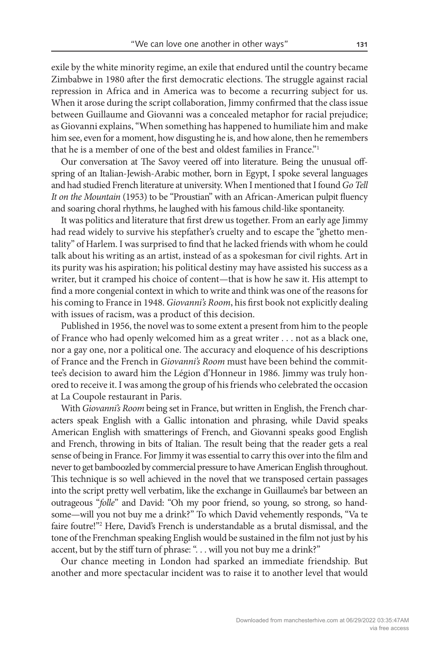exile by the white minority regime, an exile that endured until the country became Zimbabwe in 1980 after the first democratic elections. The struggle against racial repression in Africa and in America was to become a recurring subject for us. When it arose during the script collaboration, Jimmy confirmed that the class issue between Guillaume and Giovanni was a concealed metaphor for racial prejudice; as Giovanni explains, "When something has happened to humiliate him and make him see, even for a moment, how disgusting he is, and how alone, then he remembers that he is a member of one of the best and oldest families in France."1

Our conversation at The Savoy veered off into literature. Being the unusual offspring of an Italian-Jewish-Arabic mother, born in Egypt, I spoke several languages and had studied French literature at university. When I mentioned that I found *Go Tell It on the Mountain* (1953) to be "Proustian" with an African-American pulpit fluency and soaring choral rhythms, he laughed with his famous child-like spontaneity.

It was politics and literature that first drew us together. From an early age Jimmy had read widely to survive his stepfather's cruelty and to escape the "ghetto mentality" of Harlem. I was surprised to find that he lacked friends with whom he could talk about his writing as an artist, instead of as a spokesman for civil rights. Art in its purity was his aspiration; his political destiny may have assisted his success as a writer, but it cramped his choice of content—that is how he saw it. His attempt to find a more congenial context in which to write and think was one of the reasons for his coming to France in 1948. *Giovanni's Room*, his first book not explicitly dealing with issues of racism, was a product of this decision.

Published in 1956, the novel was to some extent a present from him to the people of France who had openly welcomed him as a great writer . . . not as a black one, nor a gay one, nor a political one. The accuracy and eloquence of his descriptions of France and the French in *Giovanni's Room* must have been behind the committee's decision to award him the Légion d'Honneur in 1986. Jimmy was truly honored to receive it. I was among the group of his friends who celebrated the occasion at La Coupole restaurant in Paris.

With *Giovanni's Room* being set in France, but written in English, the French characters speak English with a Gallic intonation and phrasing, while David speaks American English with smatterings of French, and Giovanni speaks good English and French, throwing in bits of Italian. The result being that the reader gets a real sense of being in France. For Jimmy it was essential to carry this over into the film and never to get bamboozled by commercial pressure to have American English throughout. This technique is so well achieved in the novel that we transposed certain passages into the script pretty well verbatim, like the exchange in Guillaume's bar between an outrageous "*folle*" and David: "Oh my poor friend, so young, so strong, so handsome—will you not buy me a drink?" To which David vehemently responds, "Va te faire foutre!"2 Here, David's French is understandable as a brutal dismissal, and the tone of the Frenchman speaking English would be sustained in the film not just by his accent, but by the stiff turn of phrase: "... will you not buy me a drink?"

Our chance meeting in London had sparked an immediate friendship. But another and more spectacular incident was to raise it to another level that would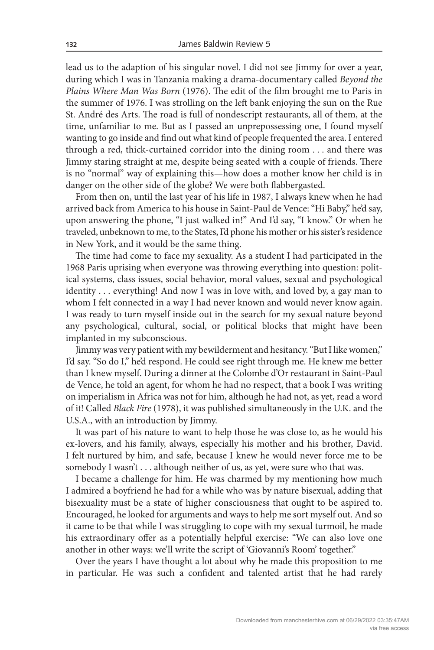lead us to the adaption of his singular novel. I did not see Jimmy for over a year, during which I was in Tanzania making a drama-documentary called *Beyond the Plains Where Man Was Born* (1976). The edit of the film brought me to Paris in the summer of 1976. I was strolling on the left bank enjoying the sun on the Rue St. André des Arts. The road is full of nondescript restaurants, all of them, at the time, unfamiliar to me. But as I passed an unprepossessing one, I found myself wanting to go inside and find out what kind of people frequented the area. I entered through a red, thick-curtained corridor into the dining room . . . and there was Jimmy staring straight at me, despite being seated with a couple of friends. There is no "normal" way of explaining this—how does a mother know her child is in danger on the other side of the globe? We were both flabbergasted.

From then on, until the last year of his life in 1987, I always knew when he had arrived back from America to his house in Saint-Paul de Vence: "Hi Baby," he'd say, upon answering the phone, "I just walked in!" And I'd say, "I know." Or when he traveled, unbeknown to me, to the States, I'd phone his mother or his sister's residence in New York, and it would be the same thing.

The time had come to face my sexuality. As a student I had participated in the 1968 Paris uprising when everyone was throwing everything into question: political systems, class issues, social behavior, moral values, sexual and psychological identity . . . everything! And now I was in love with, and loved by, a gay man to whom I felt connected in a way I had never known and would never know again. I was ready to turn myself inside out in the search for my sexual nature beyond any psychological, cultural, social, or political blocks that might have been implanted in my subconscious.

Jimmy was very patient with my bewilderment and hesitancy. "But I like women," I'd say. "So do I," he'd respond. He could see right through me. He knew me better than I knew myself. During a dinner at the Colombe d'Or restaurant in Saint-Paul de Vence, he told an agent, for whom he had no respect, that a book I was writing on imperialism in Africa was not for him, although he had not, as yet, read a word of it! Called *Black Fire* (1978), it was published simultaneously in the U.K. and the U.S.A., with an introduction by Jimmy.

It was part of his nature to want to help those he was close to, as he would his ex-lovers, and his family, always, especially his mother and his brother, David. I felt nurtured by him, and safe, because I knew he would never force me to be somebody I wasn't . . . although neither of us, as yet, were sure who that was.

I became a challenge for him. He was charmed by my mentioning how much I admired a boyfriend he had for a while who was by nature bisexual, adding that bisexuality must be a state of higher consciousness that ought to be aspired to. Encouraged, he looked for arguments and ways to help me sort myself out. And so it came to be that while I was struggling to cope with my sexual turmoil, he made his extraordinary offer as a potentially helpful exercise: "We can also love one another in other ways: we'll write the script of 'Giovanni's Room' together."

Over the years I have thought a lot about why he made this proposition to me in particular. He was such a confident and talented artist that he had rarely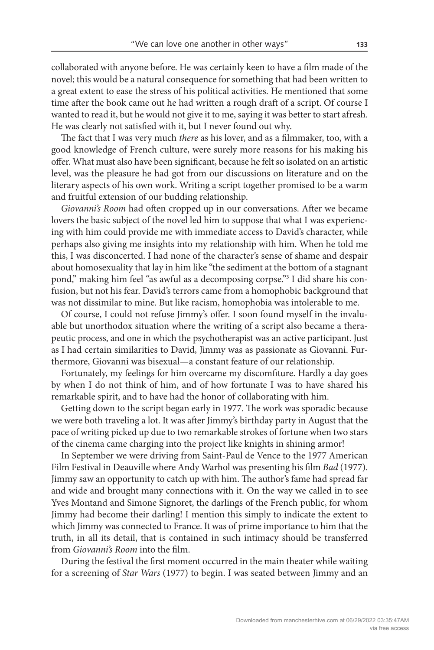collaborated with anyone before. He was certainly keen to have a film made of the novel; this would be a natural consequence for something that had been written to a great extent to ease the stress of his political activities. He mentioned that some time after the book came out he had written a rough draft of a script. Of course I wanted to read it, but he would not give it to me, saying it was better to start afresh. He was clearly not satisfied with it, but I never found out why.

The fact that I was very much *there* as his lover, and as a filmmaker, too, with a good knowledge of French culture, were surely more reasons for his making his offer. What must also have been significant, because he felt so isolated on an artistic level, was the pleasure he had got from our discussions on literature and on the literary aspects of his own work. Writing a script together promised to be a warm and fruitful extension of our budding relationship.

*Giovanni's Room* had often cropped up in our conversations. After we became lovers the basic subject of the novel led him to suppose that what I was experiencing with him could provide me with immediate access to David's character, while perhaps also giving me insights into my relationship with him. When he told me this, I was disconcerted. I had none of the character's sense of shame and despair about homosexuality that lay in him like "the sediment at the bottom of a stagnant pond," making him feel "as awful as a decomposing corpse."3 I did share his confusion, but not his fear. David's terrors came from a homophobic background that was not dissimilar to mine. But like racism, homophobia was intolerable to me.

Of course, I could not refuse Jimmy's offer. I soon found myself in the invaluable but unorthodox situation where the writing of a script also became a therapeutic process, and one in which the psychotherapist was an active participant. Just as I had certain similarities to David, Jimmy was as passionate as Giovanni. Furthermore, Giovanni was bisexual—a constant feature of our relationship.

Fortunately, my feelings for him overcame my discomfiture. Hardly a day goes by when I do not think of him, and of how fortunate I was to have shared his remarkable spirit, and to have had the honor of collaborating with him.

Getting down to the script began early in 1977. The work was sporadic because we were both traveling a lot. It was after Jimmy's birthday party in August that the pace of writing picked up due to two remarkable strokes of fortune when two stars of the cinema came charging into the project like knights in shining armor!

In September we were driving from Saint-Paul de Vence to the 1977 American Film Festival in Deauville where Andy Warhol was presenting his film *Bad* (1977). Jimmy saw an opportunity to catch up with him. The author's fame had spread far and wide and brought many connections with it. On the way we called in to see Yves Montand and Simone Signoret, the darlings of the French public, for whom Jimmy had become their darling! I mention this simply to indicate the extent to which Jimmy was connected to France. It was of prime importance to him that the truth, in all its detail, that is contained in such intimacy should be transferred from *Giovanni's Room* into the film.

During the festival the first moment occurred in the main theater while waiting for a screening of *Star Wars* (1977) to begin. I was seated between Jimmy and an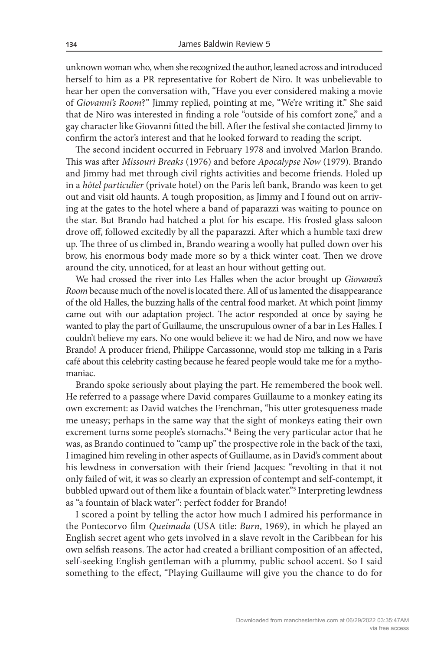unknown woman who, when she recognized the author, leaned across and introduced herself to him as a PR representative for Robert de Niro. It was unbelievable to hear her open the conversation with, "Have you ever considered making a movie of *Giovanni's Room*?" Jimmy replied, pointing at me, "We're writing it." She said that de Niro was interested in finding a role "outside of his comfort zone," and a gay character like Giovanni fitted the bill. After the festival she contacted Jimmy to confirm the actor's interest and that he looked forward to reading the script.

The second incident occurred in February 1978 and involved Marlon Brando. This was after *Missouri Breaks* (1976) and before *Apocalypse Now* (1979). Brando and Jimmy had met through civil rights activities and become friends. Holed up in a *hôtel particulier* (private hotel) on the Paris left bank, Brando was keen to get out and visit old haunts. A tough proposition, as Jimmy and I found out on arriving at the gates to the hotel where a band of paparazzi was waiting to pounce on the star. But Brando had hatched a plot for his escape. His frosted glass saloon drove off, followed excitedly by all the paparazzi. After which a humble taxi drew up. The three of us climbed in, Brando wearing a woolly hat pulled down over his brow, his enormous body made more so by a thick winter coat. Then we drove around the city, unnoticed, for at least an hour without getting out.

We had crossed the river into Les Halles when the actor brought up *Giovanni's Room* because much of the novel is located there. All of us lamented the disappearance of the old Halles, the buzzing halls of the central food market. At which point Jimmy came out with our adaptation project. The actor responded at once by saying he wanted to play the part of Guillaume, the unscrupulous owner of a bar in Les Halles. I couldn't believe my ears. No one would believe it: we had de Niro, and now we have Brando! A producer friend, Philippe Carcassonne, would stop me talking in a Paris café about this celebrity casting because he feared people would take me for a mythomaniac.

Brando spoke seriously about playing the part. He remembered the book well. He referred to a passage where David compares Guillaume to a monkey eating its own excrement: as David watches the Frenchman, "his utter grotesqueness made me uneasy; perhaps in the same way that the sight of monkeys eating their own excrement turns some people's stomachs."4 Being the very particular actor that he was, as Brando continued to "camp up" the prospective role in the back of the taxi, I imagined him reveling in other aspects of Guillaume, as in David's comment about his lewdness in conversation with their friend Jacques: "revolting in that it not only failed of wit, it was so clearly an expression of contempt and self-contempt, it bubbled upward out of them like a fountain of black water."5 Interpreting lewdness as "a fountain of black water": perfect fodder for Brando!

I scored a point by telling the actor how much I admired his performance in the Pontecorvo film *Queimada* (USA title: *Burn*, 1969), in which he played an English secret agent who gets involved in a slave revolt in the Caribbean for his own selfish reasons. The actor had created a brilliant composition of an affected, self-seeking English gentleman with a plummy, public school accent. So I said something to the effect, "Playing Guillaume will give you the chance to do for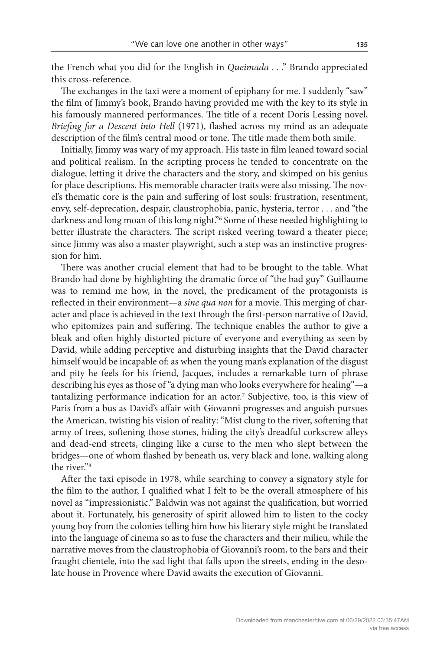the French what you did for the English in *Queimada* . . ." Brando appreciated this cross-reference.

The exchanges in the taxi were a moment of epiphany for me. I suddenly "saw" the film of Jimmy's book, Brando having provided me with the key to its style in his famously mannered performances. The title of a recent Doris Lessing novel, *Briefing for a Descent into Hell* (1971), flashed across my mind as an adequate description of the film's central mood or tone. The title made them both smile.

Initially, Jimmy was wary of my approach. His taste in film leaned toward social and political realism. In the scripting process he tended to concentrate on the dialogue, letting it drive the characters and the story, and skimped on his genius for place descriptions. His memorable character traits were also missing. The novel's thematic core is the pain and suffering of lost souls: frustration, resentment, envy, self-deprecation, despair, claustrophobia, panic, hysteria, terror . . . and "the darkness and long moan of this long night."6 Some of these needed highlighting to better illustrate the characters. The script risked veering toward a theater piece; since Jimmy was also a master playwright, such a step was an instinctive progression for him.

There was another crucial element that had to be brought to the table. What Brando had done by highlighting the dramatic force of "the bad guy" Guillaume was to remind me how, in the novel, the predicament of the protagonists is reflected in their environment—a *sine qua non* for a movie. This merging of character and place is achieved in the text through the first-person narrative of David, who epitomizes pain and suffering. The technique enables the author to give a bleak and often highly distorted picture of everyone and everything as seen by David, while adding perceptive and disturbing insights that the David character himself would be incapable of: as when the young man's explanation of the disgust and pity he feels for his friend, Jacques, includes a remarkable turn of phrase describing his eyes as those of "a dying man who looks everywhere for healing"—a tantalizing performance indication for an actor.7 Subjective, too, is this view of Paris from a bus as David's affair with Giovanni progresses and anguish pursues the American, twisting his vision of reality: "Mist clung to the river, softening that army of trees, softening those stones, hiding the city's dreadful corkscrew alleys and dead-end streets, clinging like a curse to the men who slept between the bridges—one of whom flashed by beneath us, very black and lone, walking along the river."8

After the taxi episode in 1978, while searching to convey a signatory style for the film to the author, I qualified what I felt to be the overall atmosphere of his novel as "impressionistic." Baldwin was not against the qualification, but worried about it. Fortunately, his generosity of spirit allowed him to listen to the cocky young boy from the colonies telling him how his literary style might be translated into the language of cinema so as to fuse the characters and their milieu, while the narrative moves from the claustrophobia of Giovanni's room, to the bars and their fraught clientele, into the sad light that falls upon the streets, ending in the desolate house in Provence where David awaits the execution of Giovanni.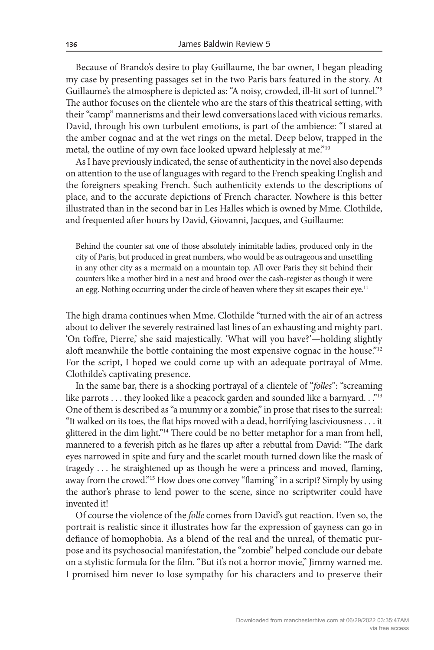Because of Brando's desire to play Guillaume, the bar owner, I began pleading my case by presenting passages set in the two Paris bars featured in the story. At Guillaume's the atmosphere is depicted as: "A noisy, crowded, ill-lit sort of tunnel."9 The author focuses on the clientele who are the stars of this theatrical setting, with their "camp" mannerisms and their lewd conversations laced with vicious remarks. David, through his own turbulent emotions, is part of the ambience: "I stared at the amber cognac and at the wet rings on the metal. Deep below, trapped in the metal, the outline of my own face looked upward helplessly at me."<sup>10</sup>

As I have previously indicated, the sense of authenticity in the novel also depends on attention to the use of languages with regard to the French speaking English and the foreigners speaking French. Such authenticity extends to the descriptions of place, and to the accurate depictions of French character. Nowhere is this better illustrated than in the second bar in Les Halles which is owned by Mme. Clothilde, and frequented after hours by David, Giovanni, Jacques, and Guillaume:

Behind the counter sat one of those absolutely inimitable ladies, produced only in the city of Paris, but produced in great numbers, who would be as outrageous and unsettling in any other city as a mermaid on a mountain top. All over Paris they sit behind their counters like a mother bird in a nest and brood over the cash-register as though it were an egg. Nothing occurring under the circle of heaven where they sit escapes their eye.<sup>11</sup>

The high drama continues when Mme. Clothilde "turned with the air of an actress about to deliver the severely restrained last lines of an exhausting and mighty part. 'On t'offre, Pierre,' she said majestically. 'What will you have?'—holding slightly aloft meanwhile the bottle containing the most expensive cognac in the house."12 For the script, I hoped we could come up with an adequate portrayal of Mme. Clothilde's captivating presence.

In the same bar, there is a shocking portrayal of a clientele of "*folles*": "screaming like parrots . . . they looked like a peacock garden and sounded like a barnyard. . ."13 One of them is described as "a mummy or a zombie," in prose that rises to the surreal: "It walked on its toes, the flat hips moved with a dead, horrifying lasciviousness . . . it glittered in the dim light."14 There could be no better metaphor for a man from hell, mannered to a feverish pitch as he flares up after a rebuttal from David: "The dark eyes narrowed in spite and fury and the scarlet mouth turned down like the mask of tragedy . . . he straightened up as though he were a princess and moved, flaming, away from the crowd."15 How does one convey "flaming" in a script? Simply by using the author's phrase to lend power to the scene, since no scriptwriter could have invented it!

Of course the violence of the *folle* comes from David's gut reaction. Even so, the portrait is realistic since it illustrates how far the expression of gayness can go in defiance of homophobia. As a blend of the real and the unreal, of thematic purpose and its psychosocial manifestation, the "zombie" helped conclude our debate on a stylistic formula for the film. "But it's not a horror movie," Jimmy warned me. I promised him never to lose sympathy for his characters and to preserve their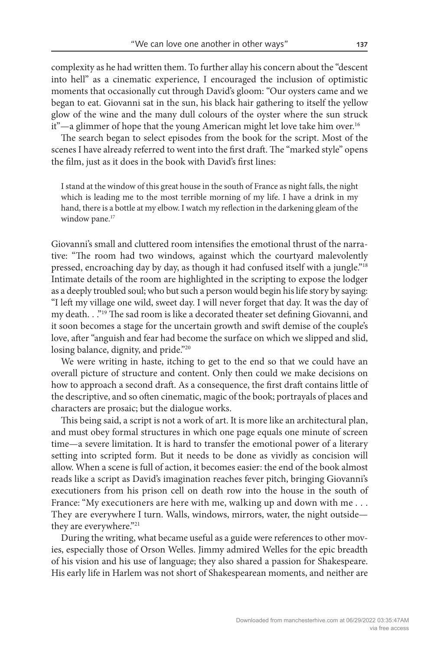complexity as he had written them. To further allay his concern about the "descent into hell" as a cinematic experience, I encouraged the inclusion of optimistic moments that occasionally cut through David's gloom: "Our oysters came and we began to eat. Giovanni sat in the sun, his black hair gathering to itself the yellow glow of the wine and the many dull colours of the oyster where the sun struck it"—a glimmer of hope that the young American might let love take him over.<sup>16</sup>

The search began to select episodes from the book for the script. Most of the scenes I have already referred to went into the first draft. The "marked style" opens the film, just as it does in the book with David's first lines:

I stand at the window of this great house in the south of France as night falls, the night which is leading me to the most terrible morning of my life. I have a drink in my hand, there is a bottle at my elbow. I watch my reflection in the darkening gleam of the window pane.<sup>17</sup>

Giovanni's small and cluttered room intensifies the emotional thrust of the narrative: "The room had two windows, against which the courtyard malevolently pressed, encroaching day by day, as though it had confused itself with a jungle."18 Intimate details of the room are highlighted in the scripting to expose the lodger as a deeply troubled soul; who but such a person would begin his life story by saying: "I left my village one wild, sweet day. I will never forget that day. It was the day of my death. . ."19 The sad room is like a decorated theater set defining Giovanni, and it soon becomes a stage for the uncertain growth and swift demise of the couple's love, after "anguish and fear had become the surface on which we slipped and slid, losing balance, dignity, and pride."<sup>20</sup>

We were writing in haste, itching to get to the end so that we could have an overall picture of structure and content. Only then could we make decisions on how to approach a second draft. As a consequence, the first draft contains little of the descriptive, and so often cinematic, magic of the book; portrayals of places and characters are prosaic; but the dialogue works.

This being said, a script is not a work of art. It is more like an architectural plan, and must obey formal structures in which one page equals one minute of screen time—a severe limitation. It is hard to transfer the emotional power of a literary setting into scripted form. But it needs to be done as vividly as concision will allow. When a scene is full of action, it becomes easier: the end of the book almost reads like a script as David's imagination reaches fever pitch, bringing Giovanni's executioners from his prison cell on death row into the house in the south of France: "My executioners are here with me, walking up and down with me . . . They are everywhere I turn. Walls, windows, mirrors, water, the night outside they are everywhere."21

During the writing, what became useful as a guide were references to other movies, especially those of Orson Welles. Jimmy admired Welles for the epic breadth of his vision and his use of language; they also shared a passion for Shakespeare. His early life in Harlem was not short of Shakespearean moments, and neither are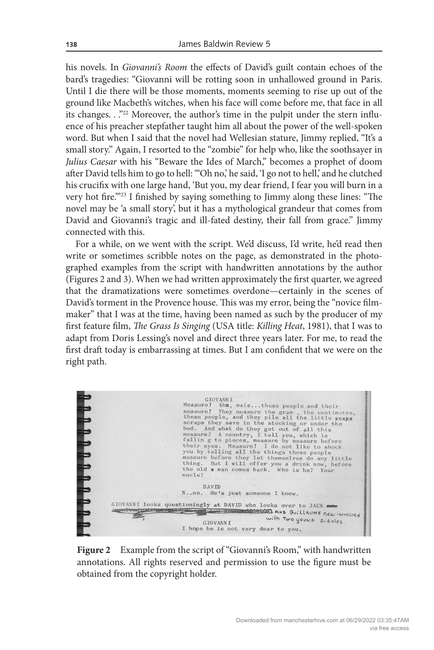his novels. In *Giovanni's Room* the effects of David's guilt contain echoes of the bard's tragedies: "Giovanni will be rotting soon in unhallowed ground in Paris. Until I die there will be those moments, moments seeming to rise up out of the ground like Macbeth's witches, when his face will come before me, that face in all its changes. . ."22 Moreover, the author's time in the pulpit under the stern influence of his preacher stepfather taught him all about the power of the well-spoken word. But when I said that the novel had Wellesian stature, Jimmy replied, "It's a small story." Again, I resorted to the "zombie" for help who, like the soothsayer in *Julius Caesar* with his "Beware the Ides of March," becomes a prophet of doom after David tells him to go to hell: "'Oh no,' he said, 'I go not to hell,' and he clutched his crucifix with one large hand, 'But you, my dear friend, I fear you will burn in a very hot fire.'"23 I finished by saying something to Jimmy along these lines: "The novel may be 'a small story', but it has a mythological grandeur that comes from David and Giovanni's tragic and ill-fated destiny, their fall from grace." Jimmy connected with this.

For a while, on we went with the script. We'd discuss, I'd write, he'd read then write or sometimes scribble notes on the page, as demonstrated in the photographed examples from the script with handwritten annotations by the author (Figures 2 and 3). When we had written approximately the first quarter, we agreed that the dramatizations were sometimes overdone—certainly in the scenes of David's torment in the Provence house. This was my error, being the "novice filmmaker" that I was at the time, having been named as such by the producer of my first feature film, *The Grass Is Singing* (USA title: *Killing Heat*, 1981), that I was to adapt from Doris Lessing's novel and direct three years later. For me, to read the first draft today is embarrassing at times. But I am confident that we were on the right path.

| <b>GIOVANNI</b><br>Measure! Ahm, maisthese people and their                               |  |
|-------------------------------------------------------------------------------------------|--|
| measure! They measure the gram, the centimetre.                                           |  |
| these people, and they pile all the little scaps                                          |  |
| scraps they save in the stocking or under the                                             |  |
| bed. And what do they get out of all this                                                 |  |
| measure? A country, I tell you, which is                                                  |  |
| falling to pieces, measure by measure before                                              |  |
| their eyes. Measure! I do not like to shock<br>you by telling all the things these people |  |
| measure before they let themselves do any little                                          |  |
| thing. But I will offer you a drink now, before                                           |  |
| the old x man comes back. Who is he? Your                                                 |  |
| uncle?                                                                                    |  |
| DAVID                                                                                     |  |
| Nno. He's just someone I know.                                                            |  |
|                                                                                           |  |
| GIOVANNI looks questioningly at DAVID who looks over to JACK                              |  |
| <b>INTERNATIONAL PROPERTY AND ADDRESS</b><br>Two TOWNS COLOR AND GUILLAUME NOW INVOLVED   |  |
| with two young GiGolos.<br><b>GIOVANNI</b>                                                |  |
| I hope he is not very dear to you.                                                        |  |

Figure 2 Example from the script of "Giovanni's Room," with handwritten annotations. All rights reserved and permission to use the figure must be obtained from the copyright holder.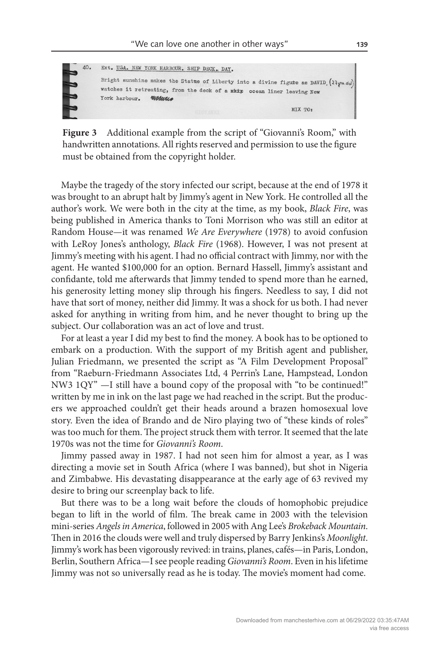

Figure 3 Additional example from the script of "Giovanni's Room," with handwritten annotations. All rights reserved and permission to use the figure must be obtained from the copyright holder.

Maybe the tragedy of the story infected our script, because at the end of 1978 it was brought to an abrupt halt by Jimmy's agent in New York. He controlled all the author's work. We were both in the city at the time, as my book, *Black Fire*, was being published in America thanks to Toni Morrison who was still an editor at Random House—it was renamed *We Are Everywhere* (1978) to avoid confusion with LeRoy Jones's anthology, *Black Fire* (1968). However, I was not present at Jimmy's meeting with his agent. I had no official contract with Jimmy, nor with the agent. He wanted \$100,000 for an option. Bernard Hassell, Jimmy's assistant and confidante, told me afterwards that Jimmy tended to spend more than he earned, his generosity letting money slip through his fingers. Needless to say, I did not have that sort of money, neither did Jimmy. It was a shock for us both. I had never asked for anything in writing from him, and he never thought to bring up the subject. Our collaboration was an act of love and trust.

For at least a year I did my best to find the money. A book has to be optioned to embark on a production. With the support of my British agent and publisher, Julian Friedmann, we presented the script as "A Film Development Proposal" from "Raeburn-Friedmann Associates Ltd, 4 Perrin's Lane, Hampstead, London NW3 1QY" —I still have a bound copy of the proposal with "to be continued!" written by me in ink on the last page we had reached in the script. But the producers we approached couldn't get their heads around a brazen homosexual love story. Even the idea of Brando and de Niro playing two of "these kinds of roles" was too much for them. The project struck them with terror. It seemed that the late 1970s was not the time for *Giovanni's Room*.

Jimmy passed away in 1987. I had not seen him for almost a year, as I was directing a movie set in South Africa (where I was banned), but shot in Nigeria and Zimbabwe. His devastating disappearance at the early age of 63 revived my desire to bring our screenplay back to life.

But there was to be a long wait before the clouds of homophobic prejudice began to lift in the world of film. The break came in 2003 with the television mini-series *Angels in America*, followed in 2005 with Ang Lee's *Brokeback Mountain*. Then in 2016 the clouds were well and truly dispersed by Barry Jenkins's *Moonlight*. Jimmy's work has been vigorously revived: in trains, planes, cafés—in Paris, London, Berlin, Southern Africa—I see people reading *Giovanni's Room*. Even in his lifetime Jimmy was not so universally read as he is today. The movie's moment had come.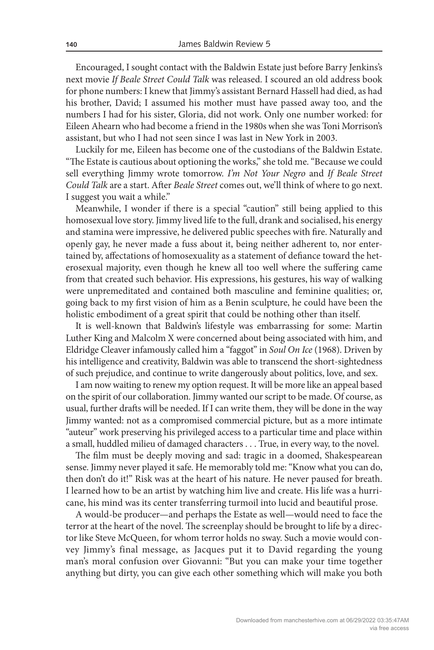Encouraged, I sought contact with the Baldwin Estate just before Barry Jenkins's next movie *If Beale Street Could Talk* was released. I scoured an old address book for phone numbers: I knew that Jimmy's assistant Bernard Hassell had died, as had his brother, David; I assumed his mother must have passed away too, and the numbers I had for his sister, Gloria, did not work. Only one number worked: for Eileen Ahearn who had become a friend in the 1980s when she was Toni Morrison's assistant, but who I had not seen since I was last in New York in 2003.

Luckily for me, Eileen has become one of the custodians of the Baldwin Estate. "The Estate is cautious about optioning the works," she told me. "Because we could sell everything Jimmy wrote tomorrow. *I'm Not Your Negro* and *If Beale Street Could Talk* are a start. After *Beale Street* comes out, we'll think of where to go next. I suggest you wait a while."

Meanwhile, I wonder if there is a special "caution" still being applied to this homosexual love story. Jimmy lived life to the full, drank and socialised, his energy and stamina were impressive, he delivered public speeches with fire. Naturally and openly gay, he never made a fuss about it, being neither adherent to, nor entertained by, affectations of homosexuality as a statement of defiance toward the heterosexual majority, even though he knew all too well where the suffering came from that created such behavior. His expressions, his gestures, his way of walking were unpremeditated and contained both masculine and feminine qualities; or, going back to my first vision of him as a Benin sculpture, he could have been the holistic embodiment of a great spirit that could be nothing other than itself.

It is well-known that Baldwin's lifestyle was embarrassing for some: Martin Luther King and Malcolm X were concerned about being associated with him, and Eldridge Cleaver infamously called him a "faggot" in *Soul On Ice* (1968). Driven by his intelligence and creativity, Baldwin was able to transcend the short-sightedness of such prejudice, and continue to write dangerously about politics, love, and sex.

I am now waiting to renew my option request. It will be more like an appeal based on the spirit of our collaboration. Jimmy wanted our script to be made. Of course, as usual, further drafts will be needed. If I can write them, they will be done in the way Jimmy wanted: not as a compromised commercial picture, but as a more intimate "auteur" work preserving his privileged access to a particular time and place within a small, huddled milieu of damaged characters . . . True, in every way, to the novel.

The film must be deeply moving and sad: tragic in a doomed, Shakespearean sense. Jimmy never played it safe. He memorably told me: "Know what you can do, then don't do it!" Risk was at the heart of his nature. He never paused for breath. I learned how to be an artist by watching him live and create. His life was a hurricane, his mind was its center transferring turmoil into lucid and beautiful prose.

A would-be producer—and perhaps the Estate as well—would need to face the terror at the heart of the novel. The screenplay should be brought to life by a director like Steve McQueen, for whom terror holds no sway. Such a movie would convey Jimmy's final message, as Jacques put it to David regarding the young man's moral confusion over Giovanni: "But you can make your time together anything but dirty, you can give each other something which will make you both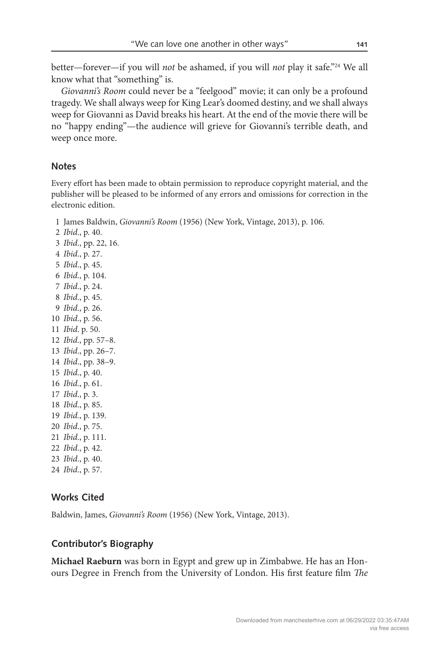better—forever—if you will *not* be ashamed, if you will *not* play it safe."24 We all know what that "something" is.

*Giovanni's Room* could never be a "feelgood" movie; it can only be a profound tragedy. We shall always weep for King Lear's doomed destiny, and we shall always weep for Giovanni as David breaks his heart. At the end of the movie there will be no "happy ending"—the audience will grieve for Giovanni's terrible death, and weep once more.

#### **Notes**

Every effort has been made to obtain permission to reproduce copyright material, and the publisher will be pleased to be informed of any errors and omissions for correction in the electronic edition.

1 James Baldwin, *Giovanni's Room* (1956) (New York, Vintage, 2013), p. 106.

 *Ibid*., p. 40. *Ibid*., pp. 22, 16. *Ibid*., p. 27. *Ibid*., p. 45. *Ibid*., p. 104. *Ibid*., p. 24. *Ibid*., p. 45. *Ibid*., p. 26. *Ibid*., p. 56. *Ibid*. p. 50. *Ibid*., pp. 57–8. *Ibid*., pp. 26–7. *Ibid*., pp. 38–9. *Ibid*., p. 40. *Ibid*., p. 61. *Ibid*., p. 3. *Ibid*., p. 85. *Ibid*., p. 139. *Ibid*., p. 75. *Ibid*., p. 111. *Ibid*., p. 42. *Ibid*., p. 40. *Ibid*., p. 57.

## **Works Cited**

Baldwin, James, *Giovanni's Room* (1956) (New York, Vintage, 2013).

## **Contributor's Biography**

**Michael Raeburn** was born in Egypt and grew up in Zimbabwe. He has an Honours Degree in French from the University of London. His first feature film *The*